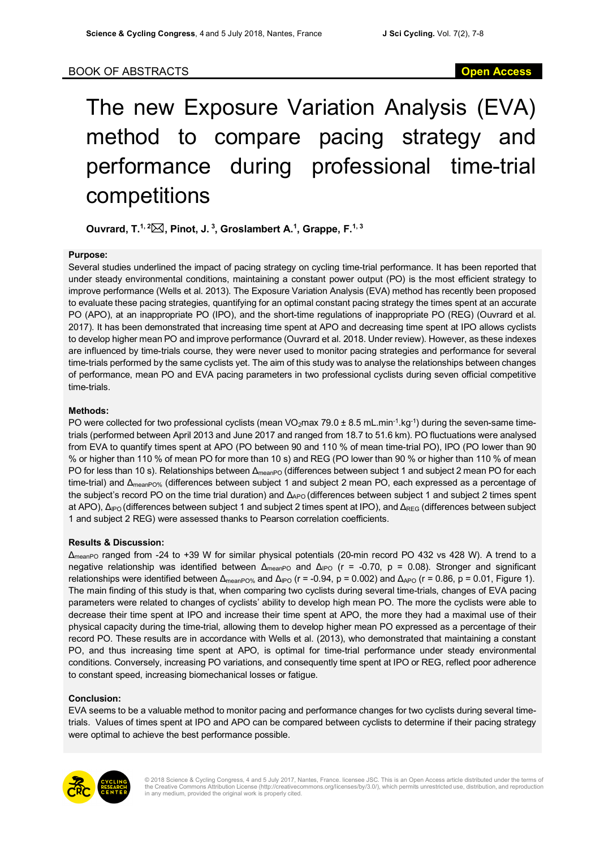# The new Exposure Variation Analysis (EVA) method to compare pacing strategy and performance during professional time-trial competitions

**Ouvrard, T.1, 2**\***, Pinot, J. <sup>3</sup> , Groslambert A.1 , Grappe, F.1, 3**

#### **Purpose:**

Several studies underlined the impact of pacing strategy on cycling time-trial performance. It has been reported that under steady environmental conditions, maintaining a constant power output (PO) is the most efficient strategy to improve performance (Wells et al. 2013). The Exposure Variation Analysis (EVA) method has recently been proposed to evaluate these pacing strategies, quantifying for an optimal constant pacing strategy the times spent at an accurate PO (APO), at an inappropriate PO (IPO), and the short-time regulations of inappropriate PO (REG) (Ouvrard et al. 2017). It has been demonstrated that increasing time spent at APO and decreasing time spent at IPO allows cyclists to develop higher mean PO and improve performance (Ouvrard et al. 2018. Under review). However, as these indexes are influenced by time-trials course, they were never used to monitor pacing strategies and performance for several time-trials performed by the same cyclists yet. The aim of this study was to analyse the relationships between changes of performance, mean PO and EVA pacing parameters in two professional cyclists during seven official competitive time-trials.

## **Methods:**

PO were collected for two professional cyclists (mean VO<sub>2</sub>max 79.0  $\pm$  8.5 mL.min<sup>-1</sup>.kg<sup>-1</sup>) during the seven-same timetrials (performed between April 2013 and June 2017 and ranged from 18.7 to 51.6 km). PO fluctuations were analysed from EVA to quantify times spent at APO (PO between 90 and 110 % of mean time-trial PO), IPO (PO lower than 90 % or higher than 110 % of mean PO for more than 10 s) and REG (PO lower than 90 % or higher than 110 % of mean PO for less than 10 s). Relationships between Δ<sub>meanPO</sub> (differences between subject 1 and subject 2 mean PO for each time-trial) and Δ<sub>meanPO%</sub> (differences between subject 1 and subject 2 mean PO, each expressed as a percentage of the subject's record PO on the time trial duration) and Δ<sub>APO</sub> (differences between subject 1 and subject 2 times spent at APO), Δ<sub>IPO</sub> (differences between subject 1 and subject 2 times spent at IPO), and Δ<sub>REG</sub> (differences between subject 1 and subject 2 REG) were assessed thanks to Pearson correlation coefficients.

## **Results & Discussion:**

ΔmeanPO ranged from -24 to +39 W for similar physical potentials (20-min record PO 432 vs 428 W). A trend to a negative relationship was identified between  $Δ_{meanPO}$  and  $Δ_{IPO}$  (r = -0.70, p = 0.08). Stronger and significant relationships were identified between  $\Delta_{\text{meanPO\%}}$  and  $\Delta_{\text{PO}}$  (r = -0.94, p = 0.002) and  $\Delta_{\text{APO}}$  (r = 0.86, p = 0.01, Figure 1). The main finding of this study is that, when comparing two cyclists during several time-trials, changes of EVA pacing parameters were related to changes of cyclists' ability to develop high mean PO. The more the cyclists were able to decrease their time spent at IPO and increase their time spent at APO, the more they had a maximal use of their physical capacity during the time-trial, allowing them to develop higher mean PO expressed as a percentage of their record PO. These results are in accordance with Wells et al. (2013), who demonstrated that maintaining a constant PO, and thus increasing time spent at APO, is optimal for time-trial performance under steady environmental conditions. Conversely, increasing PO variations, and consequently time spent at IPO or REG, reflect poor adherence to constant speed, increasing biomechanical losses or fatigue.

## **Conclusion:**

EVA seems to be a valuable method to monitor pacing and performance changes for two cyclists during several timetrials. Values of times spent at IPO and APO can be compared between cyclists to determine if their pacing strategy were optimal to achieve the best performance possible.



© 2018 Science & Cycling Congress, 4 and 5 July 2017, Nantes, France. licensee JSC. This is an Open Access article distributed under the terms of the Creative Commons Attribution License (http://creativecommons.org/licenses/by/3.0/), which permits unrestricted use, distribution, and reproduction in any medium, provided the original work is properly cited.